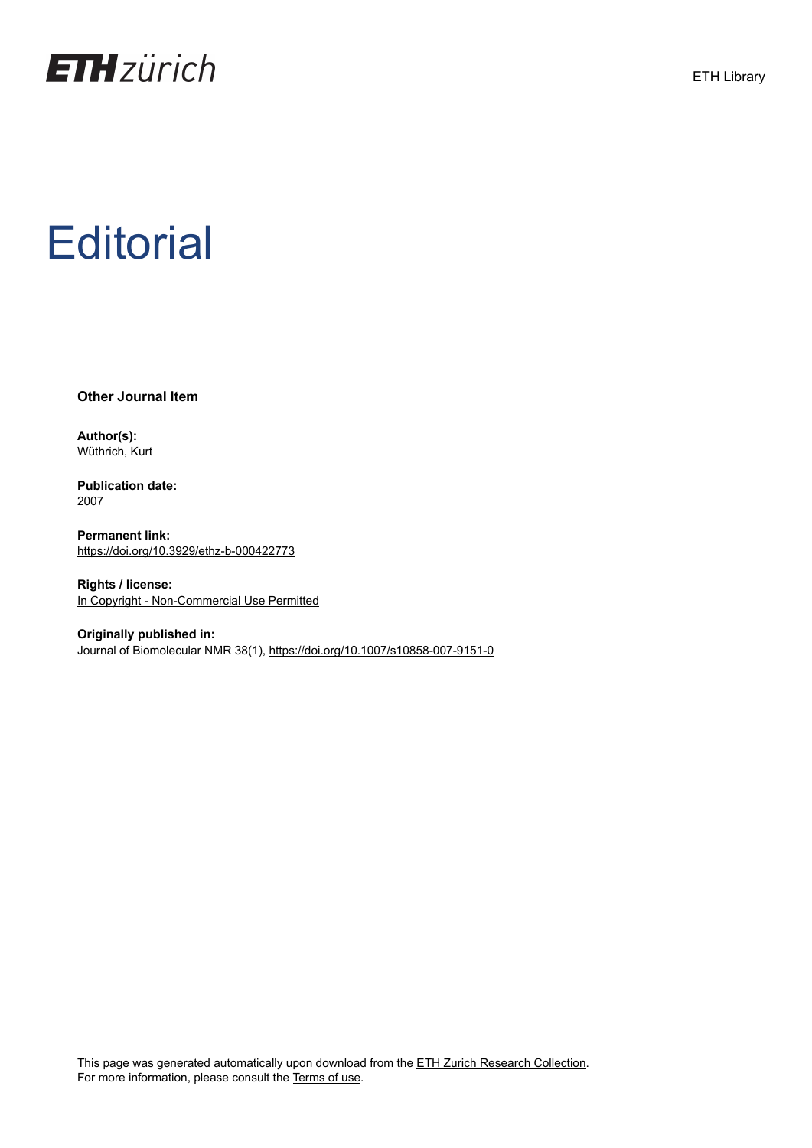

## **Editorial**

**Other Journal Item**

**Author(s):** Wüthrich, Kurt

**Publication date:** 2007

**Permanent link:** <https://doi.org/10.3929/ethz-b-000422773>

**Rights / license:** [In Copyright - Non-Commercial Use Permitted](http://rightsstatements.org/page/InC-NC/1.0/)

**Originally published in:** Journal of Biomolecular NMR 38(1),<https://doi.org/10.1007/s10858-007-9151-0>